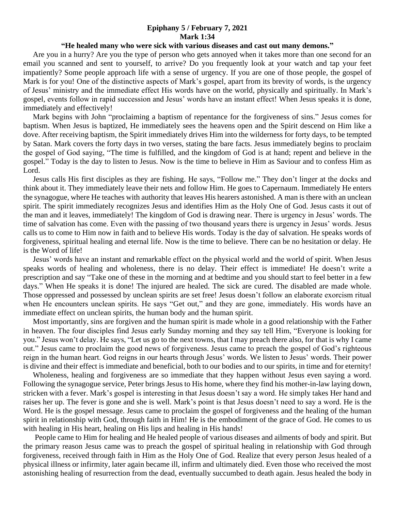## **Epiphany 5 / February 7, 2021 Mark 1:34**

## **"He healed many who were sick with various diseases and cast out many demons."**

 Are you in a hurry? Are you the type of person who gets annoyed when it takes more than one second for an email you scanned and sent to yourself, to arrive? Do you frequently look at your watch and tap your feet impatiently? Some people approach life with a sense of urgency. If you are one of those people, the gospel of Mark is for you! One of the distinctive aspects of Mark's gospel, apart from its brevity of words, is the urgency of Jesus' ministry and the immediate effect His words have on the world, physically and spiritually. In Mark's gospel, events follow in rapid succession and Jesus' words have an instant effect! When Jesus speaks it is done, immediately and effectively!

 Mark begins with John "proclaiming a baptism of repentance for the forgiveness of sins." Jesus comes for baptism. When Jesus is baptized, He immediately sees the heavens open and the Spirit descend on Him like a dove. After receiving baptism, the Spirit immediately drives Him into the wilderness for forty days, to be tempted by Satan. Mark covers the forty days in two verses, stating the bare facts. Jesus immediately begins to proclaim the gospel of God saying, "The time is fulfilled, and the kingdom of God is at hand; repent and believe in the gospel." Today is the day to listen to Jesus. Now is the time to believe in Him as Saviour and to confess Him as Lord.

 Jesus calls His first disciples as they are fishing. He says, "Follow me." They don't linger at the docks and think about it. They immediately leave their nets and follow Him. He goes to Capernaum. Immediately He enters the synagogue, where He teaches with authority that leaves His hearers astonished. A man is there with an unclean spirit. The spirit immediately recognizes Jesus and identifies Him as the Holy One of God. Jesus casts it out of the man and it leaves, immediately! The kingdom of God is drawing near. There is urgency in Jesus' words. The time of salvation has come. Even with the passing of two thousand years there is urgency in Jesus' words. Jesus calls us to come to Him now in faith and to believe His words. Today is the day of salvation. He speaks words of forgiveness, spiritual healing and eternal life. Now is the time to believe. There can be no hesitation or delay. He is the Word of life!

 Jesus' words have an instant and remarkable effect on the physical world and the world of spirit. When Jesus speaks words of healing and wholeness, there is no delay. Their effect is immediate! He doesn't write a prescription and say "Take one of these in the morning and at bedtime and you should start to feel better in a few days." When He speaks it is done! The injured are healed. The sick are cured. The disabled are made whole. Those oppressed and possessed by unclean spirits are set free! Jesus doesn't follow an elaborate exorcism ritual when He encounters unclean spirits. He says "Get out," and they are gone, immediately. His words have an immediate effect on unclean spirits, the human body and the human spirit.

 Most importantly, sins are forgiven and the human spirit is made whole in a good relationship with the Father in heaven. The four disciples find Jesus early Sunday morning and they say tell Him, "Everyone is looking for you." Jesus won't delay. He says, "Let us go to the next towns, that I may preach there also, for that is why I came out." Jesus came to proclaim the good news of forgiveness. Jesus came to preach the gospel of God's righteous reign in the human heart. God reigns in our hearts through Jesus' words. We listen to Jesus' words. Their power is divine and their effect is immediate and beneficial, both to our bodies and to our spirits, in time and for eternity!

 Wholeness, healing and forgiveness are so immediate that they happen without Jesus even saying a word. Following the synagogue service, Peter brings Jesus to His home, where they find his mother-in-law laying down, stricken with a fever. Mark's gospel is interesting in that Jesus doesn't say a word. He simply takes Her hand and raises her up. The fever is gone and she is well. Mark's point is that Jesus doesn't need to say a word. He is the Word. He is the gospel message. Jesus came to proclaim the gospel of forgiveness and the healing of the human spirit in relationship with God, through faith in Him! He is the embodiment of the grace of God. He comes to us with healing in His heart, healing on His lips and healing in His hands!

 People came to Him for healing and He healed people of various diseases and ailments of body and spirit. But the primary reason Jesus came was to preach the gospel of spiritual healing in relationship with God through forgiveness, received through faith in Him as the Holy One of God. Realize that every person Jesus healed of a physical illness or infirmity, later again became ill, infirm and ultimately died. Even those who received the most astonishing healing of resurrection from the dead, eventually succumbed to death again. Jesus healed the body in